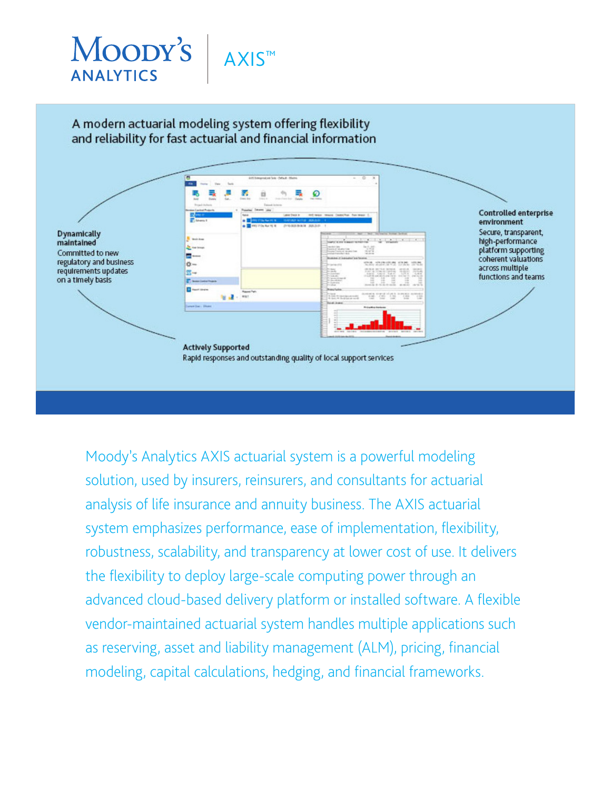

Moody's Analytics AXIS actuarial system is a powerful modeling solution, used by insurers, reinsurers, and consultants for actuarial analysis of life insurance and annuity business. The AXIS actuarial system emphasizes performance, ease of implementation, flexibility, robustness, scalability, and transparency at lower cost of use. It delivers the flexibility to deploy large-scale computing power through an advanced cloud-based delivery platform or installed software. A flexible vendor-maintained actuarial system handles multiple applications such as reserving, asset and liability management (ALM), pricing, financial modeling, capital calculations, hedging, and financial frameworks.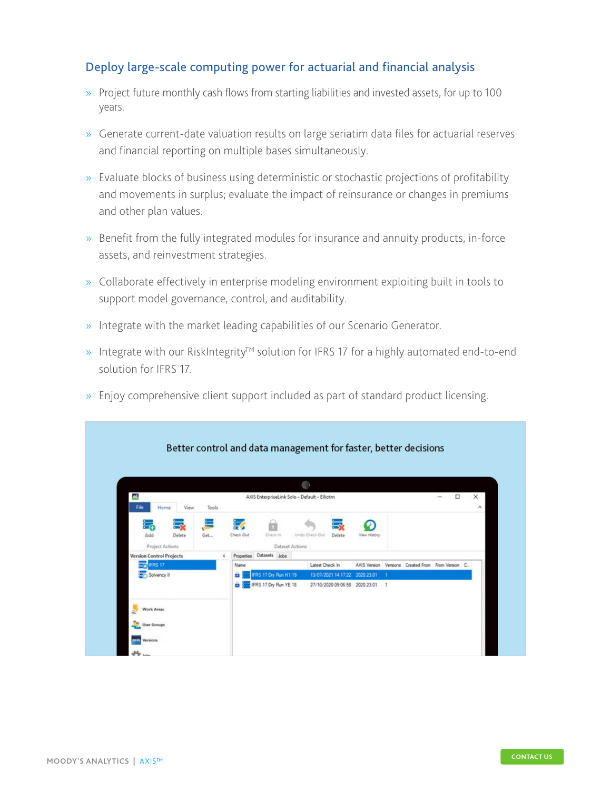#### Deploy large-scale computing power for actuarial and financial analysis

- » Project future monthly cash flows from starting liabilities and invested assets, for up to 100 years.
- » Generate current-date valuation results on large seriatim data files for actuarial reserves and financial reporting on multiple bases simultaneously.
- » Evaluate blocks of business using deterministic or stochastic projections of profitability and movements in surplus; evaluate the impact of reinsurance or changes in premiums and other plan values.
- » Benefit from the fully integrated modules for insurance and annuity products, in-force assets, and reinvestment strategies.
- » Collaborate effectively in enterprise modeling environment exploiting built in tools to support model governance, control, and auditability.
- » Integrate with the market leading capabilities of our Scenario Generator.
- » Integrate with our RiskIntegrity<sup>™</sup> solution for IFRS 17 for a highly automated end-to-end solution for IFRS 17.
- » Enjoy comprehensive client support included as part of standard product licensing.

|                                  |            |                                               | <b>COLOR</b>                   |              |              |                                                    |        |
|----------------------------------|------------|-----------------------------------------------|--------------------------------|--------------|--------------|----------------------------------------------------|--------|
| el,<br>File<br>Home<br>View      | Tools      | AXIS EnterpriseLink Solo - Default - Elliotm  |                                |              |              | □                                                  | ×<br>۰ |
| Delete<br>Add<br>Project Actions | Get        | 蒙<br>Check Out<br>Check In<br>Dataset Actions | Undo Check Out<br>Delete       | View History |              |                                                    |        |
| <b>Version Control Projects</b>  | $\epsilon$ | Properties Datasets Jobs                      |                                |              |              |                                                    |        |
| <b>IFRS 17</b>                   |            | Name                                          | Latest Check In                |              |              | AXIS Version Versions Created From From Version C. |        |
| Solvency II                      |            | FRS 17 Dry Run H1 19<br>ü                     | 13/07/2021 14:17:22 2020 23:01 |              | - 1          |                                                    |        |
|                                  |            | IFRS 17 Dry Run YE 18<br>û                    | 27/10/2020 09:06:58 2020 23:01 |              | $\mathbf{1}$ |                                                    |        |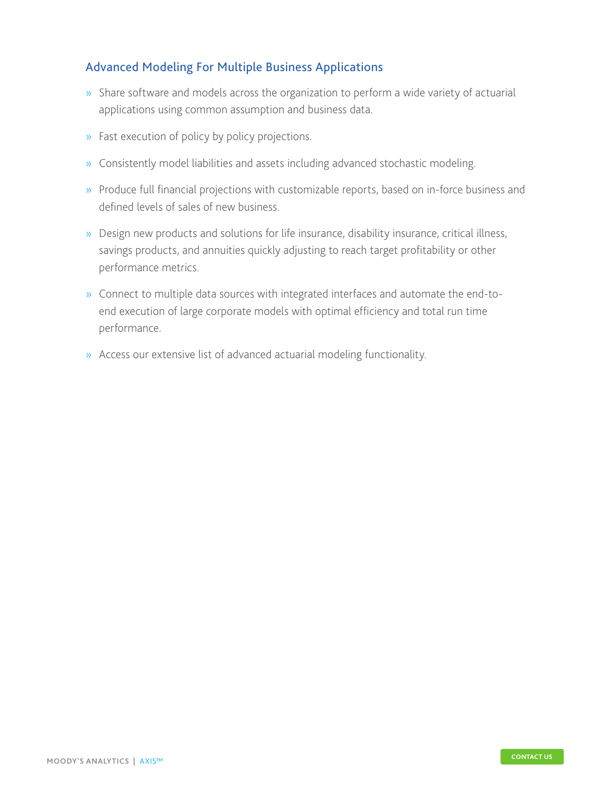### Advanced Modeling For Multiple Business Applications

- » Share software and models across the organization to perform a wide variety of actuarial applications using common assumption and business data.
- » Fast execution of policy by policy projections.
- » Consistently model liabilities and assets including advanced stochastic modeling.
- » Produce full financial projections with customizable reports, based on in-force business and defined levels of sales of new business.
- » Design new products and solutions for life insurance, disability insurance, critical illness, savings products, and annuities quickly adjusting to reach target profitability or other performance metrics.
- » Connect to multiple data sources with integrated interfaces and automate the end-toend execution of large corporate models with optimal efficiency and total run time performance.
- » Access our extensive list of advanced actuarial modeling functionality.